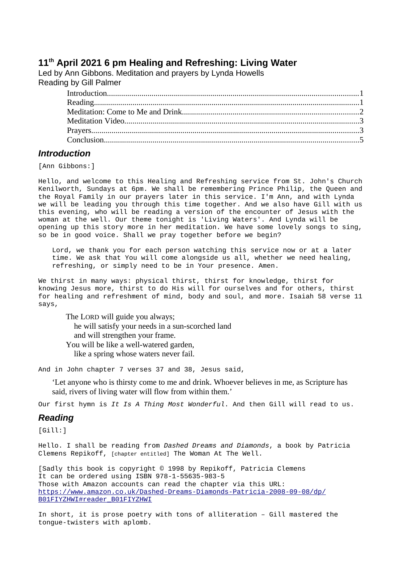# **11th April 2021 6 pm Healing and Refreshing: Living Water**

Led by Ann Gibbons. Meditation and prayers by Lynda Howells Reading by Gill Palmer

# <span id="page-0-1"></span>*Introduction*

[Ann Gibbons:]

Hello, and welcome to this Healing and Refreshing service from St. John's Church Kenilworth, Sundays at 6pm. We shall be remembering Prince Philip, the Queen and the Royal Family in our prayers later in this service. I'm Ann, and with Lynda we will be leading you through this time together. And we also have Gill with us this evening, who will be reading a version of the encounter of Jesus with the woman at the well. Our theme tonight is 'Living Waters'. And Lynda will be opening up this story more in her meditation. We have some lovely songs to sing, so be in good voice. Shall we pray together before we begin?

Lord, we thank you for each person watching this service now or at a later time. We ask that You will come alongside us all, whether we need healing, refreshing, or simply need to be in Your presence. Amen.

We thirst in many ways: physical thirst, thirst for knowledge, thirst for knowing Jesus more, thirst to do His will for ourselves and for others, thirst for healing and refreshment of mind, body and soul, and more. Isaiah 58 verse 11 says,

The LORD will guide you always; he will satisfy your needs in a sun-scorched land and will strengthen your frame. You will be like a well-watered garden, like a spring whose waters never fail.

And in John chapter 7 verses 37 and 38, Jesus said,

'Let anyone who is thirsty come to me and drink. Whoever believes in me, as Scripture has said, rivers of living water will flow from within them.'

Our first hymn is *It Is A Thing Most Wonderful*. And then Gill will read to us.

### <span id="page-0-0"></span>*Reading*

[Gill:]

Hello. I shall be reading from *Dashed Dreams and Diamonds*, a book by Patricia Clemens Repikoff, [chapter entitled] The Woman At The Well.

[Sadly this book is copyright © 1998 by Repikoff, Patricia Clemens It can be ordered using ISBN 978-1-55635-983-5 Those with Amazon accounts can read the chapter via this URL: [https://www.amazon.co.uk/Dashed-Dreams-Diamonds-Patricia-2008-09-08/dp/](https://www.amazon.co.uk/Dashed-Dreams-Diamonds-Patricia-2008-09-08/dp/B01FIYZHWI#reader_B01FIYZHWI) [B01FIYZHWI#reader\\_B01FIYZHWI](https://www.amazon.co.uk/Dashed-Dreams-Diamonds-Patricia-2008-09-08/dp/B01FIYZHWI#reader_B01FIYZHWI)

In short, it is prose poetry with tons of alliteration – Gill mastered the tongue-twisters with aplomb.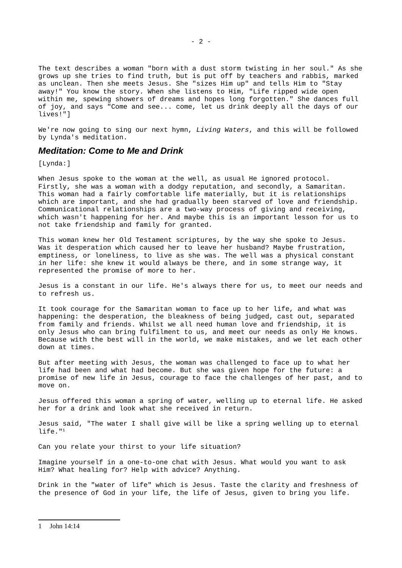The text describes a woman "born with a dust storm twisting in her soul." As she grows up she tries to find truth, but is put off by teachers and rabbis, marked as unclean. Then she meets Jesus. She "sizes Him up" and tells Him to "Stay away!" You know the story. When she listens to Him, "Life ripped wide open within me, spewing showers of dreams and hopes long forgotten." She dances full of joy, and says "Come and see... come, let us drink deeply all the days of our lives!"]

We're now going to sing our next hymn, *Living Waters*, and this will be followed by Lynda's meditation.

## <span id="page-1-0"></span>*Meditation: Come to Me and Drink*

[Lynda:1

When Jesus spoke to the woman at the well, as usual He ignored protocol. Firstly, she was a woman with a dodgy reputation, and secondly, a Samaritan. This woman had a fairly comfortable life materially, but it is relationships which are important, and she had gradually been starved of love and friendship. Communicational relationships are a two-way process of giving and receiving, which wasn't happening for her. And maybe this is an important lesson for us to not take friendship and family for granted.

This woman knew her Old Testament scriptures, by the way she spoke to Jesus. Was it desperation which caused her to leave her husband? Maybe frustration, emptiness, or loneliness, to live as she was. The well was a physical constant in her life: she knew it would always be there, and in some strange way, it represented the promise of more to her.

Jesus is a constant in our life. He's always there for us, to meet our needs and to refresh us.

It took courage for the Samaritan woman to face up to her life, and what was happening: the desperation, the bleakness of being judged, cast out, separated from family and friends. Whilst we all need human love and friendship, it is only Jesus who can bring fulfilment to us, and meet our needs as only He knows. Because with the best will in the world, we make mistakes, and we let each other down at times.

But after meeting with Jesus, the woman was challenged to face up to what her life had been and what had become. But she was given hope for the future: a promise of new life in Jesus, courage to face the challenges of her past, and to move on.

Jesus offered this woman a spring of water, welling up to eternal life. He asked her for a drink and look what she received in return.

Jesus said, "The water I shall give will be like a spring welling up to eternal  $l$ ife." $1$ 

Can you relate your thirst to your life situation?

Imagine yourself in a one-to-one chat with Jesus. What would you want to ask Him? What healing for? Help with advice? Anything.

<span id="page-1-1"></span>Drink in the "water of life" which is Jesus. Taste the clarity and freshness of the presence of God in your life, the life of Jesus, given to bring you life.

- 2 -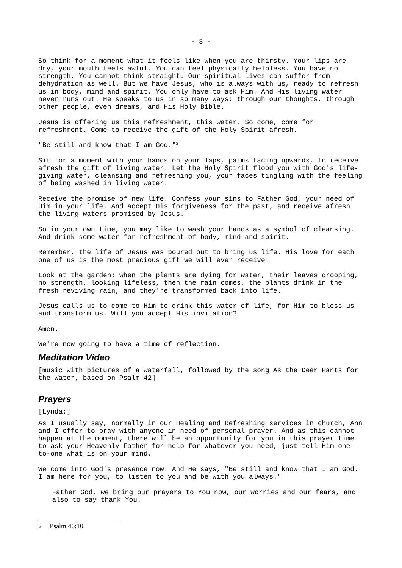So think for a moment what it feels like when you are thirsty. Your lips are dry, your mouth feels awful. You can feel physically helpless. You have no strength. You cannot think straight. Our spiritual lives can suffer from dehydration as well. But we have Jesus, who is always with us, ready to refresh us in body, mind and spirit. You only have to ask Him. And His living water never runs out. He speaks to us in so many ways: through our thoughts, through other people, even dreams, and His Holy Bible.

Jesus is offering us this refreshment, this water. So come, come for refreshment. Come to receive the gift of the Holy Spirit afresh.

"Be still and know that I am God."[2](#page-2-2)

Sit for a moment with your hands on your laps, palms facing upwards, to receive afresh the gift of living water. Let the Holy Spirit flood you with God's lifegiving water, cleansing and refreshing you, your faces tingling with the feeling of being washed in living water.

Receive the promise of new life. Confess your sins to Father God, your need of Him in your life. And accept His forgiveness for the past, and receive afresh the living waters promised by Jesus.

So in your own time, you may like to wash your hands as a symbol of cleansing. And drink some water for refreshment of body, mind and spirit.

Remember, the life of Jesus was poured out to bring us life. His love for each one of us is the most precious gift we will ever receive.

Look at the garden: when the plants are dying for water, their leaves drooping, no strength, looking lifeless, then the rain comes, the plants drink in the fresh reviving rain, and they're transformed back into life.

Jesus calls us to come to Him to drink this water of life, for Him to bless us and transform us. Will you accept His invitation?

Amen.

We're now going to have a time of reflection.

#### <span id="page-2-1"></span>*Meditation Video*

[music with pictures of a waterfall, followed by the song As the Deer Pants for the Water, based on Psalm 42]

#### <span id="page-2-0"></span>*Prayers*

[Lynda: 1

As I usually say, normally in our Healing and Refreshing services in church, Ann and I offer to pray with anyone in need of personal prayer. And as this cannot happen at the moment, there will be an opportunity for you in this prayer time to ask your Heavenly Father for help for whatever you need, just tell Him oneto-one what is on your mind.

We come into God's presence now. And He says, "Be still and know that I am God. I am here for you, to listen to you and be with you always."

<span id="page-2-2"></span>Father God, we bring our prayers to You now, our worries and our fears, and also to say thank You.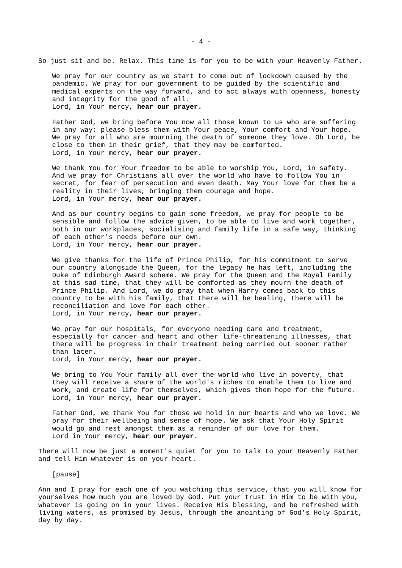So just sit and be. Relax. This time is for you to be with your Heavenly Father.

We pray for our country as we start to come out of lockdown caused by the pandemic. We pray for our government to be guided by the scientific and medical experts on the way forward, and to act always with openness, honesty and integrity for the good of all. Lord, in Your mercy, **hear our prayer.** 

Father God, we bring before You now all those known to us who are suffering in any way: please bless them with Your peace, Your comfort and Your hope. We pray for all who are mourning the death of someone they love. Oh Lord, be close to them in their grief, that they may be comforted. Lord, in Your mercy, **hear our prayer.**

We thank You for Your freedom to be able to worship You, Lord, in safety. And we pray for Christians all over the world who have to follow You in secret, for fear of persecution and even death. May Your love for them be a reality in their lives, bringing them courage and hope. Lord, in Your mercy, **hear our prayer.**

And as our country begins to gain some freedom, we pray for people to be sensible and follow the advice given, to be able to live and work together, both in our workplaces, socialising and family life in a safe way, thinking of each other's needs before our own. Lord, in Your mercy, **hear our prayer.**

We give thanks for the life of Prince Philip, for his commitment to serve our country alongside the Queen, for the legacy he has left, including the Duke of Edinburgh Award scheme. We pray for the Queen and the Royal Family at this sad time, that they will be comforted as they mourn the death of Prince Philip. And Lord, we do pray that when Harry comes back to this country to be with his family, that there will be healing, there will be reconciliation and love for each other. Lord, in Your mercy, **hear our prayer.**

We pray for our hospitals, for everyone needing care and treatment, especially for cancer and heart and other life-threatening illnesses, that there will be progress in their treatment being carried out sooner rather than later.

Lord, in Your mercy, **hear our prayer.** 

We bring to You Your family all over the world who live in poverty, that they will receive a share of the world's riches to enable them to live and work, and create life for themselves, which gives them hope for the future. Lord, in Your mercy, **hear our prayer.** 

Father God, we thank You for those we hold in our hearts and who we love. We pray for their wellbeing and sense of hope. We ask that Your Holy Spirit would go and rest amongst them as a reminder of our love for them. Lord in Your mercy, **hear our prayer.**

There will now be just a moment's quiet for you to talk to your Heavenly Father and tell Him whatever is on your heart.

[pause]

Ann and I pray for each one of you watching this service, that you will know for yourselves how much you are loved by God. Put your trust in Him to be with you, whatever is going on in your lives. Receive His blessing, and be refreshed with living waters, as promised by Jesus, through the anointing of God's Holy Spirit, day by day.

- 4 -